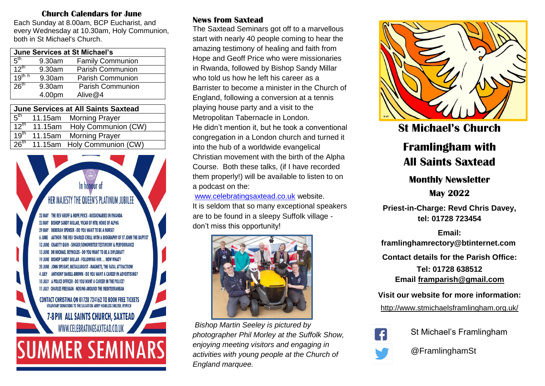## **Church Calendars for June**

Each Sunday at 8.00am, BCP Eucharist, and every Wednesday at 10.30am, Holy Communion, both in St Michael's Church.

| <b>June Services at St Michael's</b> |        |                         |  |
|--------------------------------------|--------|-------------------------|--|
| 5 <sup>th</sup>                      | 9.30am | <b>Family Communion</b> |  |
| $12^{th}$                            | 9.30am | <b>Parish Communion</b> |  |
| $19^{th}$ h                          | 9.30am | <b>Parish Communion</b> |  |
| 26 <sup>th</sup>                     | 9.30am | <b>Parish Communion</b> |  |
|                                      | 4.00pm | Alive@4                 |  |

| <b>June Services at All Saints Saxtead</b> |  |                                              |  |
|--------------------------------------------|--|----------------------------------------------|--|
|                                            |  | 5 <sup>th</sup> 11.15am Morning Prayer       |  |
|                                            |  | 12 <sup>th</sup> 11.15am Holy Communion (CW) |  |
|                                            |  | 19 <sup>th</sup> 11.15am Morning Prayer      |  |
|                                            |  | 26 <sup>th</sup> 11.15am Holy Communion (CW) |  |



## **News from Saxtead**

The Saxtead Seminars got off to a marvellous start with nearly 40 people coming to hear the amazing testimony of healing and faith from Hope and Geoff Price who were missionaries in Rwanda, followed by Bishop Sandy Millar who told us how he left his career as a Barrister to become a minister in the Church of England, following a conversion at a tennis playing house party and a visit to the Metropolitan Tabernacle in London. He didn't mention it, but he took a conventional congregation in a London church and turned it into the hub of a worldwide evangelical Christian movement with the birth of the Alpha Course. Both these talks, (if I have recorded them properly!) will be available to listen to on a podcast on the:

[www.celebratingsaxtead.co.uk](http://www.celebratingsaxtead.co.uk/) website.

It is seldom that so many exceptional speakers are to be found in a sleepy Suffolk village don't miss this opportunity!



*Bishop Martin Seeley is pictured by photographer Phil Morley at the Suffolk Show, enjoying meeting visitors and engaging in activities with young people at the Church of England marquee.*



**St Michael's Church** 

# **Framlingham with All Saints Saxtead**

## **Monthly Newsletter**

**May 2022**

**Priest-in-Charge: Revd Chris Davey, tel: 01728 723454**

**Email: framlinghamrectory@btinternet.com Contact details for the Parish Office: Tel: 01728 638512 Email [framparish@gmail.com](mailto:framparish@gmail.com)**

**Visit our website for more information:**

<http://www.stmichaelsframlingham.org.uk/>



St Michael's Framlingham



@FramlinghamSt